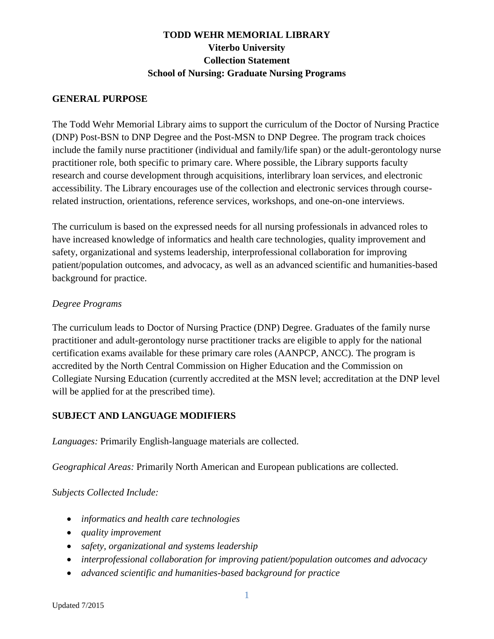## **TODD WEHR MEMORIAL LIBRARY Viterbo University Collection Statement School of Nursing: Graduate Nursing Programs**

#### **GENERAL PURPOSE**

The Todd Wehr Memorial Library aims to support the curriculum of the Doctor of Nursing Practice (DNP) Post-BSN to DNP Degree and the Post-MSN to DNP Degree. The program track choices include the family nurse practitioner (individual and family/life span) or the adult-gerontology nurse practitioner role, both specific to primary care. Where possible, the Library supports faculty research and course development through acquisitions, interlibrary loan services, and electronic accessibility. The Library encourages use of the collection and electronic services through courserelated instruction, orientations, reference services, workshops, and one-on-one interviews.

The curriculum is based on the expressed needs for all nursing professionals in advanced roles to have increased knowledge of informatics and health care technologies, quality improvement and safety, organizational and systems leadership, interprofessional collaboration for improving patient/population outcomes, and advocacy, as well as an advanced scientific and humanities-based background for practice.

### *Degree Programs*

The curriculum leads to Doctor of Nursing Practice (DNP) Degree. Graduates of the family nurse practitioner and adult-gerontology nurse practitioner tracks are eligible to apply for the national certification exams available for these primary care roles (AANPCP, ANCC). The program is accredited by the North Central Commission on Higher Education and the Commission on Collegiate Nursing Education (currently accredited at the MSN level; accreditation at the DNP level will be applied for at the prescribed time).

### **SUBJECT AND LANGUAGE MODIFIERS**

*Languages:* Primarily English-language materials are collected.

*Geographical Areas:* Primarily North American and European publications are collected.

*Subjects Collected Include:*

- *informatics and health care technologies*
- *quality improvement*
- *safety, organizational and systems leadership*
- *interprofessional collaboration for improving patient/population outcomes and advocacy*
- *advanced scientific and humanities-based background for practice*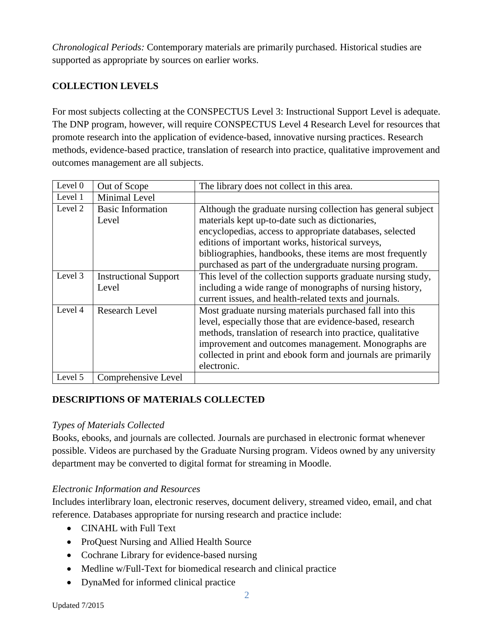*Chronological Periods:* Contemporary materials are primarily purchased. Historical studies are supported as appropriate by sources on earlier works.

# **COLLECTION LEVELS**

For most subjects collecting at the CONSPECTUS Level 3: Instructional Support Level is adequate. The DNP program, however, will require CONSPECTUS Level 4 Research Level for resources that promote research into the application of evidence-based, innovative nursing practices. Research methods, evidence-based practice, translation of research into practice, qualitative improvement and outcomes management are all subjects.

| Level $0$ | Out of Scope                 | The library does not collect in this area.                    |
|-----------|------------------------------|---------------------------------------------------------------|
| Level 1   | Minimal Level                |                                                               |
| Level 2   | <b>Basic Information</b>     | Although the graduate nursing collection has general subject  |
|           | Level                        | materials kept up-to-date such as dictionaries,               |
|           |                              | encyclopedias, access to appropriate databases, selected      |
|           |                              | editions of important works, historical surveys,              |
|           |                              | bibliographies, handbooks, these items are most frequently    |
|           |                              | purchased as part of the undergraduate nursing program.       |
| Level 3   | <b>Instructional Support</b> | This level of the collection supports graduate nursing study, |
|           | Level                        | including a wide range of monographs of nursing history,      |
|           |                              | current issues, and health-related texts and journals.        |
| Level 4   | <b>Research Level</b>        | Most graduate nursing materials purchased fall into this      |
|           |                              | level, especially those that are evidence-based, research     |
|           |                              | methods, translation of research into practice, qualitative   |
|           |                              | improvement and outcomes management. Monographs are           |
|           |                              | collected in print and ebook form and journals are primarily  |
|           |                              | electronic.                                                   |
| Level 5   | Comprehensive Level          |                                                               |

# **DESCRIPTIONS OF MATERIALS COLLECTED**

### *Types of Materials Collected*

Books, ebooks, and journals are collected. Journals are purchased in electronic format whenever possible. Videos are purchased by the Graduate Nursing program. Videos owned by any university department may be converted to digital format for streaming in Moodle.

### *Electronic Information and Resources*

Includes interlibrary loan, electronic reserves, document delivery, streamed video, email, and chat reference. Databases appropriate for nursing research and practice include:

- CINAHL with Full Text
- ProQuest Nursing and Allied Health Source
- Cochrane Library for evidence-based nursing
- Medline w/Full-Text for biomedical research and clinical practice
- DynaMed for informed clinical practice